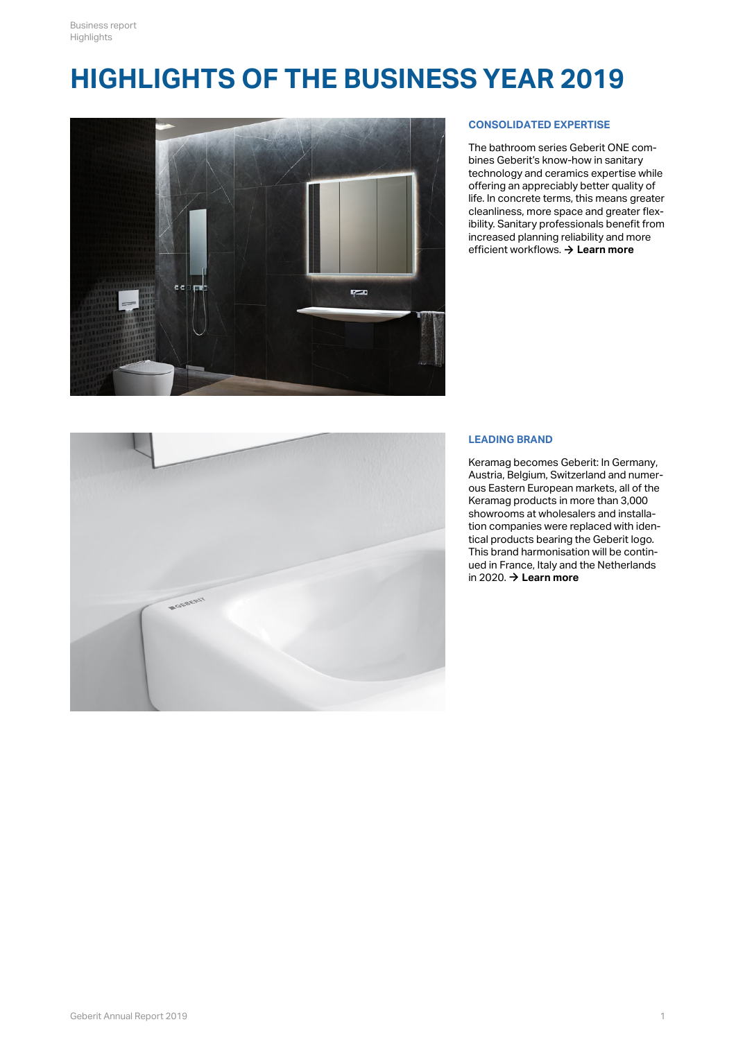# **HIGHLIGHTS OF THE BUSINESS YEAR 2019**



## **CONSOLIDATED EXPERTISE**

The bathroom series Geberit ONE combines Geberit's know-how in sanitary technology and ceramics expertise while offering an appreciably better quality of life. In concrete terms, this means greater cleanliness, more space and greater flexibility. Sanitary professionals benefit from increased planning reliability and more efficient workflows.  $\rightarrow$  [Learn more](http://annualreport.geberit.com/reports/geberit/annual/2019/gb/English/0/home.html?anchor=image#image)



#### **LEADING BRAND**

Keramag becomes Geberit: In Germany, Austria, Belgium, Switzerland and numerous Eastern European markets, all of the Keramag products in more than 3,000 showrooms at wholesalers and installation companies were replaced with identical products bearing the Geberit logo. This brand harmonisation will be continued in France, Italy and the Netherlands in 2020.  $\rightarrow$  **[Learn more](http://annualreport.geberit.com/geberit/annual/2019/gb/layout/../English/pdf/Keramag_becomes_Geberit_DE_EN.pdf)**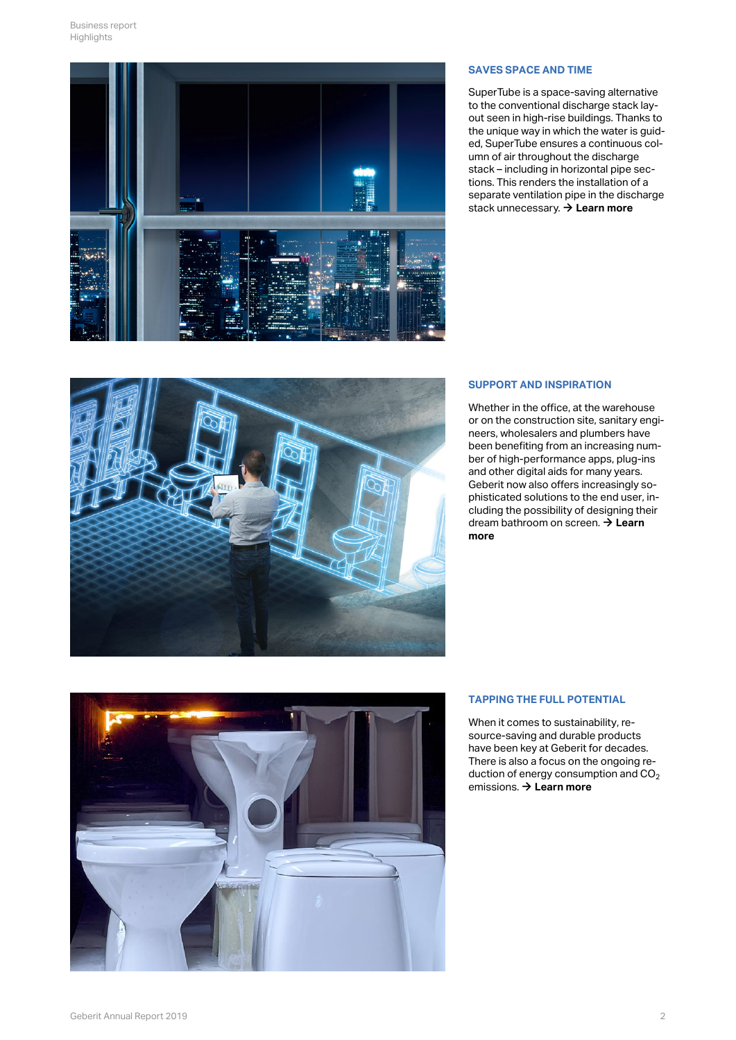

#### **SAVES SPACE AND TIME**

SuperTube is a space-saving alternative to the conventional discharge stack layout seen in high-rise buildings. Thanks to the unique way in which the water is guided, SuperTube ensures a continuous column of air throughout the discharge stack – including in horizontal pipe sections. This renders the installation of a separate ventilation pipe in the discharge stack unnecessary.  $\rightarrow$  [Learn more](http://annualreport.geberit.com/reports/geberit/annual/2019/gb/English/40/a-look-back-at-an-interesting-year_-_br_the-world-of-geberit-in-2019_.html?anchor=supertube#supertube)



## **SUPPORT AND INSPIRATION**

Whether in the office, at the warehouse or on the construction site, sanitary engineers, wholesalers and plumbers have been benefiting from an increasing number of high-performance apps, plug-ins and other digital aids for many years. Geberit now also offers increasingly sophisticated solutions to the end user, including the possibility of designing their dream bathroom on screen. **→ Learn [more](http://annualreport.geberit.com/reports/geberit/annual/2019/gb/English/10502045/customers.html?anchor=digital_tools#digital_tools)**



## **TAPPING THE FULL POTENTIAL**

When it comes to sustainability, resource-saving and durable products have been key at Geberit for decades. There is also a focus on the ongoing reduction of energy consumption and CO 2 emissions. → [Learn more](http://annualreport.geberit.com/geberit/annual/2019/gb/layout/../English/pdf/Enervit_DE_EN.pdf)